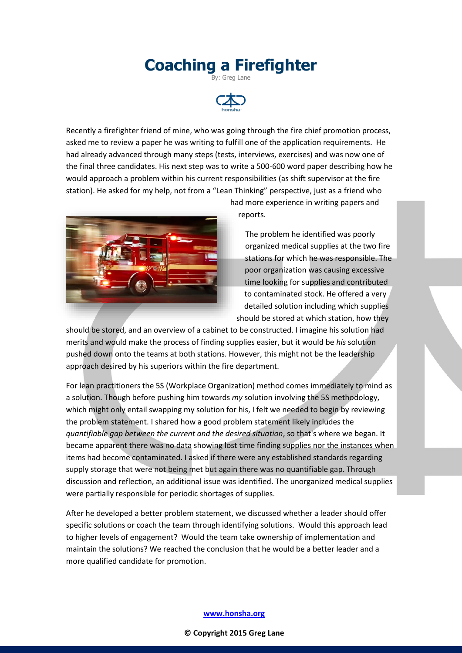## **Coaching a Firefighter** By: Greg Lane



Recently a firefighter friend of mine, who was going through the fire chief promotion process, asked me to review a paper he was writing to fulfill one of the application requirements. He had already advanced through many steps (tests, interviews, exercises) and was now one of the final three candidates. His next step was to write a 500-600 word paper describing how he would approach a problem within his current responsibilities (as shift supervisor at the fire station). He asked for my help, not from a "Lean Thinking" perspective, just as a friend who



had more experience in writing papers and reports.

The problem he identified was poorly organized medical supplies at the two fire stations for which he was responsible. The poor organization was causing excessive time looking for supplies and contributed to contaminated stock. He offered a very detailed solution including which supplies should be stored at which station, how they

should be stored, and an overview of a cabinet to be constructed. I imagine his solution had merits and would make the process of finding supplies easier, but it would be *his* solution pushed down onto the teams at both stations. However, this might not be the leadership approach desired by his superiors within the fire department.

For lean practitioners the 5S (Workplace Organization) method comes immediately to mind as a solution. Though before pushing him towards *my* solution involving the 5S methodology, which might only entail swapping my solution for his, I felt we needed to begin by reviewing the problem statement. I shared how a good problem statement likely includes the *quantifiable gap between the current and the desired situation*, so that's where we began. It became apparent there was no data showing lost time finding supplies nor the instances when items had become contaminated. I asked if there were any established standards regarding supply storage that were not being met but again there was no quantifiable gap. Through discussion and reflection, an additional issue was identified. The unorganized medical supplies were partially responsible for periodic shortages of supplies.

After he developed a better problem statement, we discussed whether a leader should offer specific solutions or coach the team through identifying solutions. Would this approach lead to higher levels of engagement? Would the team take ownership of implementation and maintain the solutions? We reached the conclusion that he would be a better leader and a more qualified candidate for promotion.

## **[www.honsha.org](http://www.honsha.org/)**